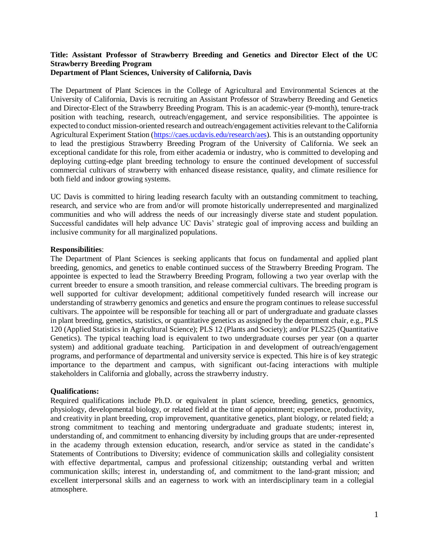## **Title: Assistant Professor of Strawberry Breeding and Genetics and Director Elect of the UC Strawberry Breeding Program Department of Plant Sciences, University of California, Davis**

The Department of Plant Sciences in the College of Agricultural and Environmental Sciences at the University of California, Davis is recruiting an Assistant Professor of Strawberry Breeding and Genetics and Director-Elect of the Strawberry Breeding Program. This is an academic-year (9-month), tenure-track position with teaching, research, outreach/engagement, and service responsibilities. The appointee is expected to conduct mission-oriented research and outreach/engagement activities relevant to the California Agricultural Experiment Station [\(https://caes.ucdavis.edu/research/aes\)](https://caes.ucdavis.edu/research/aes). This is an outstanding opportunity to lead the prestigious Strawberry Breeding Program of the University of California. We seek an exceptional candidate for this role, from either academia or industry, who is committed to developing and deploying cutting-edge plant breeding technology to ensure the continued development of successful commercial cultivars of strawberry with enhanced disease resistance, quality, and climate resilience for both field and indoor growing systems.

UC Davis is committed to hiring leading research faculty with an outstanding commitment to teaching, research, and service who are from and/or will promote historically underrepresented and marginalized communities and who will address the needs of our increasingly diverse state and student population. Successful candidates will help advance UC Davis' strategic goal of improving access and building an inclusive community for all marginalized populations.

### **Responsibilities**:

The Department of Plant Sciences is seeking applicants that focus on fundamental and applied plant breeding, genomics, and genetics to enable continued success of the Strawberry Breeding Program*.* The appointee is expected to lead the Strawberry Breeding Program, following a two year overlap with the current breeder to ensure a smooth transition, and release commercial cultivars. The breeding program is well supported for cultivar development; additional competitively funded research will increase our understanding of strawberry genomics and genetics and ensure the program continues to release successful cultivars. The appointee will be responsible for teaching all or part of undergraduate and graduate classes in plant breeding, genetics, statistics, or quantitative genetics as assigned by the department chair, e.g., PLS 120 (Applied Statistics in Agricultural Science); PLS 12 (Plants and Society); and/or PLS225 (Quantitative Genetics). The typical teaching load is equivalent to two undergraduate courses per year (on a quarter system) and additional graduate teaching. Participation in and development of outreach/engagement programs, and performance of departmental and university service is expected. This hire is of key strategic importance to the department and campus, with significant out-facing interactions with multiple stakeholders in California and globally, across the strawberry industry.

#### **Qualifications:**

Required qualifications include Ph.D. or equivalent in plant science, breeding, genetics, genomics, physiology, developmental biology, or related field at the time of appointment; experience, productivity, and creativity in plant breeding, crop improvement, quantitative genetics, plant biology, or related field; a strong commitment to teaching and mentoring undergraduate and graduate students; interest in, understanding of, and commitment to enhancing diversity by including groups that are under-represented in the academy through extension education, research, and/or service as stated in the candidate's Statements of Contributions to Diversity; evidence of communication skills and collegiality consistent with effective departmental, campus and professional citizenship; outstanding verbal and written communication skills; interest in, understanding of, and commitment to the land-grant mission; and excellent interpersonal skills and an eagerness to work with an interdisciplinary team in a collegial atmosphere.